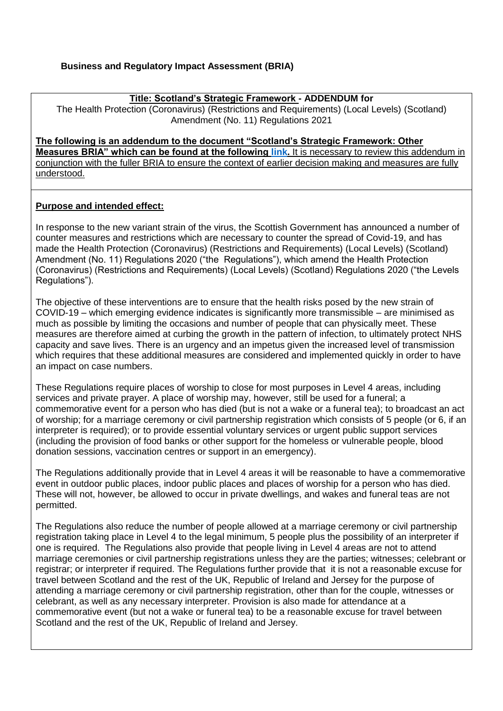#### **Title: Scotland's Strategic Framework - ADDENDUM for**

The Health Protection (Coronavirus) (Restrictions and Requirements) (Local Levels) (Scotland) Amendment (No. 11) Regulations 2021

**The following is an addendum to the document "Scotland's Strategic Framework: Other Measures BRIA" which can be found at the following [link.](https://www.legislation.gov.uk/ssi/2020/344/pdfs/ssifia_20200344_en_002.pdf) It is necessary to review this addendum in** conjunction with the fuller BRIA to ensure the context of earlier decision making and measures are fully understood.

### **Purpose and intended effect:**

In response to the new variant strain of the virus, the Scottish Government has announced a number of counter measures and restrictions which are necessary to counter the spread of Covid-19, and has made the Health Protection (Coronavirus) (Restrictions and Requirements) (Local Levels) (Scotland) Amendment (No. 11) Regulations 2020 ("the Regulations"), which amend the Health Protection (Coronavirus) (Restrictions and Requirements) (Local Levels) (Scotland) Regulations 2020 ("the Levels Regulations").

The objective of these interventions are to ensure that the health risks posed by the new strain of COVID-19 – which emerging evidence indicates is significantly more transmissible – are minimised as much as possible by limiting the occasions and number of people that can physically meet. These measures are therefore aimed at curbing the growth in the pattern of infection, to ultimately protect NHS capacity and save lives. There is an urgency and an impetus given the increased level of transmission which requires that these additional measures are considered and implemented quickly in order to have an impact on case numbers.

These Regulations require places of worship to close for most purposes in Level 4 areas, including services and private prayer. A place of worship may, however, still be used for a funeral; a commemorative event for a person who has died (but is not a wake or a funeral tea); to broadcast an act of worship; for a marriage ceremony or civil partnership registration which consists of 5 people (or 6, if an interpreter is required); or to provide essential voluntary services or urgent public support services (including the provision of food banks or other support for the homeless or vulnerable people, blood donation sessions, vaccination centres or support in an emergency).

The Regulations additionally provide that in Level 4 areas it will be reasonable to have a commemorative event in outdoor public places, indoor public places and places of worship for a person who has died. These will not, however, be allowed to occur in private dwellings, and wakes and funeral teas are not permitted.

The Regulations also reduce the number of people allowed at a marriage ceremony or civil partnership registration taking place in Level 4 to the legal minimum, 5 people plus the possibility of an interpreter if one is required. The Regulations also provide that people living in Level 4 areas are not to attend marriage ceremonies or civil partnership registrations unless they are the parties; witnesses; celebrant or registrar; or interpreter if required. The Regulations further provide that it is not a reasonable excuse for travel between Scotland and the rest of the UK, Republic of Ireland and Jersey for the purpose of attending a marriage ceremony or civil partnership registration, other than for the couple, witnesses or celebrant, as well as any necessary interpreter. Provision is also made for attendance at a commemorative event (but not a wake or funeral tea) to be a reasonable excuse for travel between Scotland and the rest of the UK, Republic of Ireland and Jersey.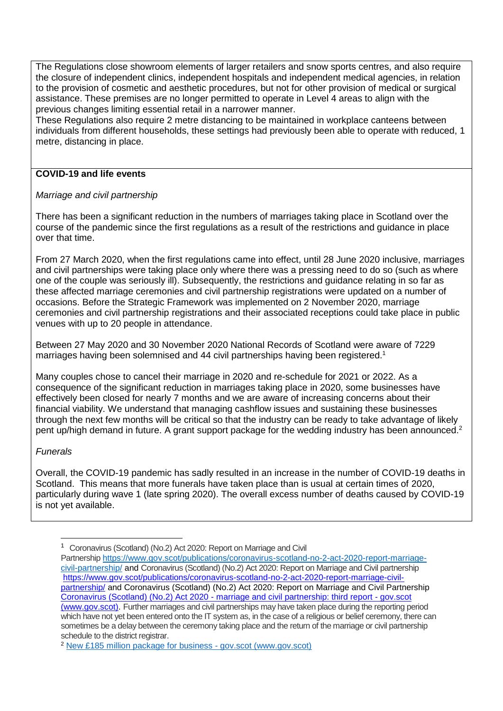The Regulations close showroom elements of larger retailers and snow sports centres, and also require the closure of independent clinics, independent hospitals and independent medical agencies, in relation to the provision of cosmetic and aesthetic procedures, but not for other provision of medical or surgical assistance. These premises are no longer permitted to operate in Level 4 areas to align with the previous changes limiting essential retail in a narrower manner.

These Regulations also require 2 metre distancing to be maintained in workplace canteens between individuals from different households, these settings had previously been able to operate with reduced, 1 metre, distancing in place.

#### **COVID-19 and life events**

#### *Marriage and civil partnership*

There has been a significant reduction in the numbers of marriages taking place in Scotland over the course of the pandemic since the first regulations as a result of the restrictions and guidance in place over that time.

From 27 March 2020, when the first regulations came into effect, until 28 June 2020 inclusive, marriages and civil partnerships were taking place only where there was a pressing need to do so (such as where one of the couple was seriously ill). Subsequently, the restrictions and guidance relating in so far as these affected marriage ceremonies and civil partnership registrations were updated on a number of occasions. Before the Strategic Framework was implemented on 2 November 2020, marriage ceremonies and civil partnership registrations and their associated receptions could take place in public venues with up to 20 people in attendance.

Between 27 May 2020 and 30 November 2020 National Records of Scotland were aware of 7229 marriages having been solemnised and 44 civil partnerships having been registered.<sup>1</sup>

Many couples chose to cancel their marriage in 2020 and re-schedule for 2021 or 2022. As a consequence of the significant reduction in marriages taking place in 2020, some businesses have effectively been closed for nearly 7 months and we are aware of increasing concerns about their financial viability. We understand that managing cashflow issues and sustaining these businesses through the next few months will be critical so that the industry can be ready to take advantage of likely pent up/high demand in future. A grant support package for the wedding industry has been announced.<sup>2</sup>

#### *Funerals*

-

Overall, the COVID-19 pandemic has sadly resulted in an increase in the number of COVID-19 deaths in Scotland. This means that more funerals have taken place than is usual at certain times of 2020, particularly during wave 1 (late spring 2020). The overall excess number of deaths caused by COVID-19 is not yet available.

<sup>1</sup> Coronavirus (Scotland) (No.2) Act 2020: Report on Marriage and Civil

Partnership [https://www.gov.scot/publications/coronavirus-scotland-no-2-act-2020-report-marriage](https://www.gov.scot/publications/coronavirus-scotland-no-2-act-2020-report-marriage-civil-partnership/)[civil-partnership/](https://www.gov.scot/publications/coronavirus-scotland-no-2-act-2020-report-marriage-civil-partnership/) and Coronavirus (Scotland) (No.2) Act 2020: Report on Marriage and Civil partnership [https://www.gov.scot/publications/coronavirus-scotland-no-2-act-2020-report-marriage-civil](https://www.gov.scot/publications/coronavirus-scotland-no-2-act-2020-report-marriage-civil-partnership/)[partnership/](https://www.gov.scot/publications/coronavirus-scotland-no-2-act-2020-report-marriage-civil-partnership/) and Coronavirus (Scotland) (No.2) Act 2020: Report on Marriage and Civil Partnership Coronavirus (Scotland) (No.2) Act 2020 - [marriage and civil partnership: third report -](https://www.gov.scot/publications/coronavirus-scotland-no-2-act-2020-third-report-marriage-civil-partnership/) gov.scot [\(www.gov.scot\).](https://www.gov.scot/publications/coronavirus-scotland-no-2-act-2020-third-report-marriage-civil-partnership/) Further marriages and civil partnerships may have taken place during the reporting period which have not yet been entered onto the IT system as, in the case of a religious or belief ceremony, there can sometimes be a delay between the ceremony taking place and the return of the marriage or civil partnership schedule to the district registrar.

<sup>2</sup> [New £185 million package for business -](https://www.gov.scot/news/new-gbp-185-million-package-for-business/) gov.scot (www.gov.scot)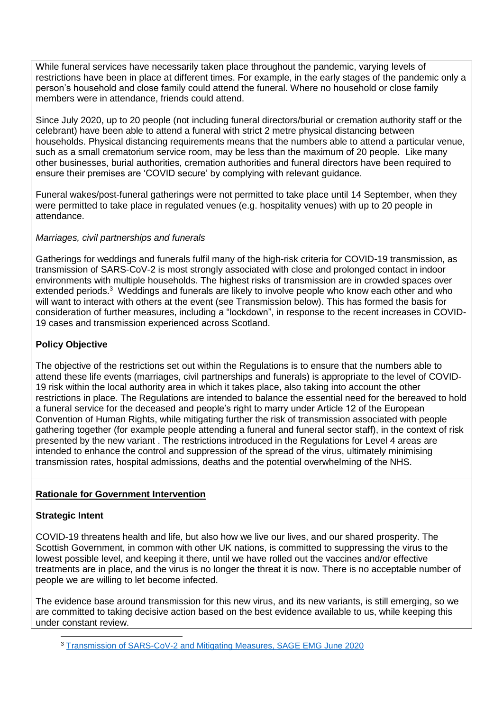While funeral services have necessarily taken place throughout the pandemic, varying levels of restrictions have been in place at different times. For example, in the early stages of the pandemic only a person's household and close family could attend the funeral. Where no household or close family members were in attendance, friends could attend.

Since July 2020, up to 20 people (not including funeral directors/burial or cremation authority staff or the celebrant) have been able to attend a funeral with strict 2 metre physical distancing between households. Physical distancing requirements means that the numbers able to attend a particular venue, such as a small crematorium service room, may be less than the maximum of 20 people. Like many other businesses, burial authorities, cremation authorities and funeral directors have been required to ensure their premises are 'COVID secure' by complying with relevant guidance.

Funeral wakes/post-funeral gatherings were not permitted to take place until 14 September, when they were permitted to take place in regulated venues (e.g. hospitality venues) with up to 20 people in attendance.

## *Marriages, civil partnerships and funerals*

Gatherings for weddings and funerals fulfil many of the high-risk criteria for COVID-19 transmission, as transmission of SARS-CoV-2 is most strongly associated with close and prolonged contact in indoor environments with multiple households. The highest risks of transmission are in crowded spaces over extended periods.<sup>3</sup> Weddings and funerals are likely to involve people who know each other and who will want to interact with others at the event (see Transmission below). This has formed the basis for consideration of further measures, including a "lockdown", in response to the recent increases in COVID-19 cases and transmission experienced across Scotland.

## **Policy Objective**

The objective of the restrictions set out within the Regulations is to ensure that the numbers able to attend these life events (marriages, civil partnerships and funerals) is appropriate to the level of COVID-19 risk within the local authority area in which it takes place, also taking into account the other restrictions in place. The Regulations are intended to balance the essential need for the bereaved to hold a funeral service for the deceased and people's right to marry under Article 12 of the European Convention of Human Rights, while mitigating further the risk of transmission associated with people gathering together (for example people attending a funeral and funeral sector staff), in the context of risk presented by the new variant . The restrictions introduced in the Regulations for Level 4 areas are intended to enhance the control and suppression of the spread of the virus, ultimately minimising transmission rates, hospital admissions, deaths and the potential overwhelming of the NHS.

## **Rationale for Government Intervention**

## **Strategic Intent**

COVID-19 threatens health and life, but also how we live our lives, and our shared prosperity. The Scottish Government, in common with other UK nations, is committed to suppressing the virus to the lowest possible level, and keeping it there, until we have rolled out the vaccines and/or effective treatments are in place, and the virus is no longer the threat it is now. There is no acceptable number of people we are willing to let become infected.

The evidence base around transmission for this new virus, and its new variants, is still emerging, so we are committed to taking decisive action based on the best evidence available to us, while keeping this under constant review.

<sup>-</sup><sup>3</sup> [Transmission of SARS-CoV-2 and Mitigating Measures, SAGE EMG June 2020](https://assets.publishing.service.gov.uk/government/uploads/system/uploads/attachment_data/file/892043/S0484_Transmission_of_SARS-CoV-2_and_Mitigating_Measures.pdf)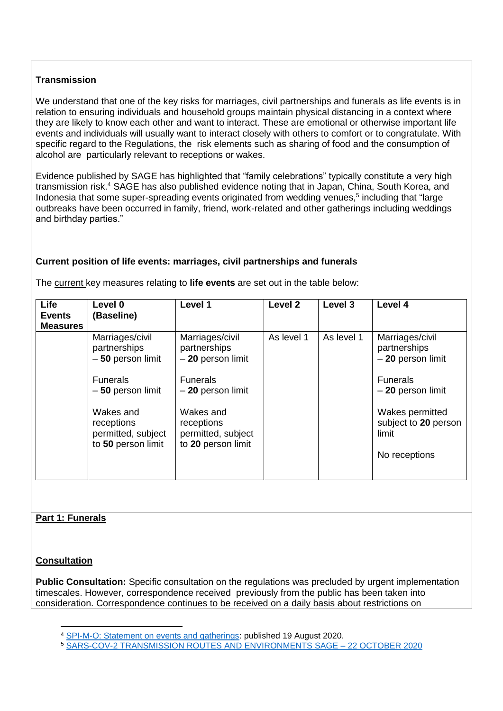# **Transmission**

We understand that one of the key risks for marriages, civil partnerships and funerals as life events is in relation to ensuring individuals and household groups maintain physical distancing in a context where they are likely to know each other and want to interact. These are emotional or otherwise important life events and individuals will usually want to interact closely with others to comfort or to congratulate. With specific regard to the Regulations, the risk elements such as sharing of food and the consumption of alcohol are particularly relevant to receptions or wakes.

Evidence published by SAGE has highlighted that "family celebrations" typically constitute a very high transmission risk.<sup>4</sup> SAGE has also published evidence noting that in Japan, China, South Korea, and Indonesia that some super-spreading events originated from wedding venues,<sup>5</sup> including that "large outbreaks have been occurred in family, friend, work-related and other gatherings including weddings and birthday parties."

# **Current position of life events: marriages, civil partnerships and funerals**

| <b>Life</b><br><b>Events</b><br><b>Measures</b> | Level 0<br>(Baseline)                                               | Level 1                                                             | Level <sub>2</sub> | Level 3    | Level 4                                                           |
|-------------------------------------------------|---------------------------------------------------------------------|---------------------------------------------------------------------|--------------------|------------|-------------------------------------------------------------------|
|                                                 | Marriages/civil<br>partnerships<br>$-50$ person limit               | Marriages/civil<br>partnerships<br>- 20 person limit                | As level 1         | As level 1 | Marriages/civil<br>partnerships<br>$-20$ person limit             |
|                                                 | <b>Funerals</b><br>$-50$ person limit                               | <b>Funerals</b><br>$-20$ person limit                               |                    |            | <b>Funerals</b><br>$-20$ person limit                             |
|                                                 | Wakes and<br>receptions<br>permitted, subject<br>to 50 person limit | Wakes and<br>receptions<br>permitted, subject<br>to 20 person limit |                    |            | Wakes permitted<br>subject to 20 person<br>limit<br>No receptions |

The current key measures relating to **life events** are set out in the table below:

## **Part 1: Funerals**

## **Consultation**

-

**Public Consultation:** Specific consultation on the regulations was precluded by urgent implementation timescales. However, correspondence received previously from the public has been taken into consideration. Correspondence continues to be received on a daily basis about restrictions on

<sup>4</sup> [SPI-M-O: Statement on events and gatherings:](https://assets.publishing.service.gov.uk/government/uploads/system/uploads/attachment_data/file/916888/spi-m-o-statement-gatherings-s0704-sage-52-200819.pdf) published 19 August 2020.

<sup>5</sup> [SARS-COV-2 TRANSMISSION ROUTES AND ENVIRONMENTS SAGE –](https://assets.publishing.service.gov.uk/government/uploads/system/uploads/attachment_data/file/933225/S0824_SARS-CoV-2_Transmission_routes_and_environments.pdf) 22 OCTOBER 2020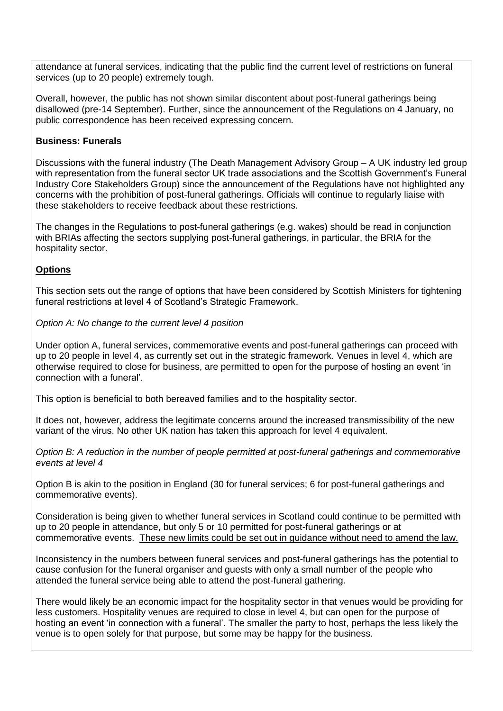attendance at funeral services, indicating that the public find the current level of restrictions on funeral services (up to 20 people) extremely tough.

Overall, however, the public has not shown similar discontent about post-funeral gatherings being disallowed (pre-14 September). Further, since the announcement of the Regulations on 4 January, no public correspondence has been received expressing concern.

### **Business: Funerals**

Discussions with the funeral industry (The Death Management Advisory Group – A UK industry led group with representation from the funeral sector UK trade associations and the Scottish Government's Funeral Industry Core Stakeholders Group) since the announcement of the Regulations have not highlighted any concerns with the prohibition of post-funeral gatherings. Officials will continue to regularly liaise with these stakeholders to receive feedback about these restrictions.

The changes in the Regulations to post-funeral gatherings (e.g. wakes) should be read in conjunction with BRIAs affecting the sectors supplying post-funeral gatherings, in particular, the BRIA for the hospitality sector.

## **Options**

This section sets out the range of options that have been considered by Scottish Ministers for tightening funeral restrictions at level 4 of Scotland's Strategic Framework.

*Option A: No change to the current level 4 position* 

Under option A, funeral services, commemorative events and post-funeral gatherings can proceed with up to 20 people in level 4, as currently set out in the strategic framework. Venues in level 4, which are otherwise required to close for business, are permitted to open for the purpose of hosting an event 'in connection with a funeral'.

This option is beneficial to both bereaved families and to the hospitality sector.

It does not, however, address the legitimate concerns around the increased transmissibility of the new variant of the virus. No other UK nation has taken this approach for level 4 equivalent.

*Option B: A reduction in the number of people permitted at post-funeral gatherings and commemorative events at level 4*

Option B is akin to the position in England (30 for funeral services; 6 for post-funeral gatherings and commemorative events).

Consideration is being given to whether funeral services in Scotland could continue to be permitted with up to 20 people in attendance, but only 5 or 10 permitted for post-funeral gatherings or at commemorative events. These new limits could be set out in guidance without need to amend the law.

Inconsistency in the numbers between funeral services and post-funeral gatherings has the potential to cause confusion for the funeral organiser and guests with only a small number of the people who attended the funeral service being able to attend the post-funeral gathering.

There would likely be an economic impact for the hospitality sector in that venues would be providing for less customers. Hospitality venues are required to close in level 4, but can open for the purpose of hosting an event 'in connection with a funeral'. The smaller the party to host, perhaps the less likely the venue is to open solely for that purpose, but some may be happy for the business.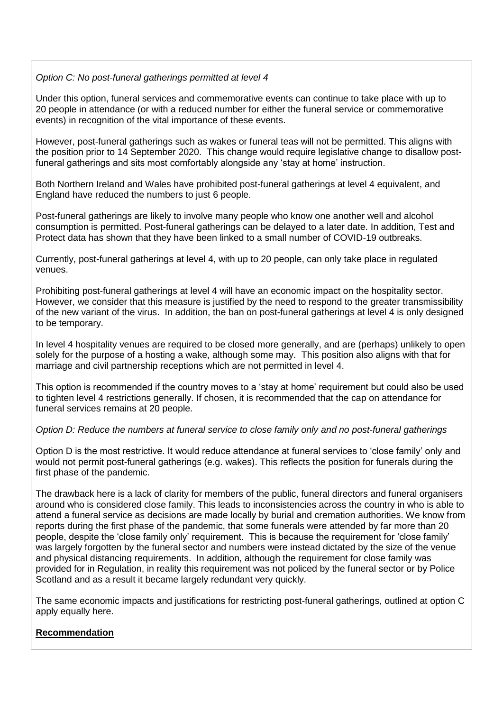## *Option C: No post-funeral gatherings permitted at level 4*

Under this option, funeral services and commemorative events can continue to take place with up to 20 people in attendance (or with a reduced number for either the funeral service or commemorative events) in recognition of the vital importance of these events.

However, post-funeral gatherings such as wakes or funeral teas will not be permitted. This aligns with the position prior to 14 September 2020. This change would require legislative change to disallow postfuneral gatherings and sits most comfortably alongside any 'stay at home' instruction.

Both Northern Ireland and Wales have prohibited post-funeral gatherings at level 4 equivalent, and England have reduced the numbers to just 6 people.

Post-funeral gatherings are likely to involve many people who know one another well and alcohol consumption is permitted. Post-funeral gatherings can be delayed to a later date. In addition, Test and Protect data has shown that they have been linked to a small number of COVID-19 outbreaks.

Currently, post-funeral gatherings at level 4, with up to 20 people, can only take place in regulated venues.

Prohibiting post-funeral gatherings at level 4 will have an economic impact on the hospitality sector. However, we consider that this measure is justified by the need to respond to the greater transmissibility of the new variant of the virus. In addition, the ban on post-funeral gatherings at level 4 is only designed to be temporary.

In level 4 hospitality venues are required to be closed more generally, and are (perhaps) unlikely to open solely for the purpose of a hosting a wake, although some may. This position also aligns with that for marriage and civil partnership receptions which are not permitted in level 4.

This option is recommended if the country moves to a 'stay at home' requirement but could also be used to tighten level 4 restrictions generally. If chosen, it is recommended that the cap on attendance for funeral services remains at 20 people.

#### *Option D: Reduce the numbers at funeral service to close family only and no post-funeral gatherings*

Option D is the most restrictive. It would reduce attendance at funeral services to 'close family' only and would not permit post-funeral gatherings (e.g. wakes). This reflects the position for funerals during the first phase of the pandemic.

The drawback here is a lack of clarity for members of the public, funeral directors and funeral organisers around who is considered close family. This leads to inconsistencies across the country in who is able to attend a funeral service as decisions are made locally by burial and cremation authorities. We know from reports during the first phase of the pandemic, that some funerals were attended by far more than 20 people, despite the 'close family only' requirement. This is because the requirement for 'close family' was largely forgotten by the funeral sector and numbers were instead dictated by the size of the venue and physical distancing requirements. In addition, although the requirement for close family was provided for in Regulation, in reality this requirement was not policed by the funeral sector or by Police Scotland and as a result it became largely redundant very quickly.

The same economic impacts and justifications for restricting post-funeral gatherings, outlined at option C apply equally here.

#### **Recommendation**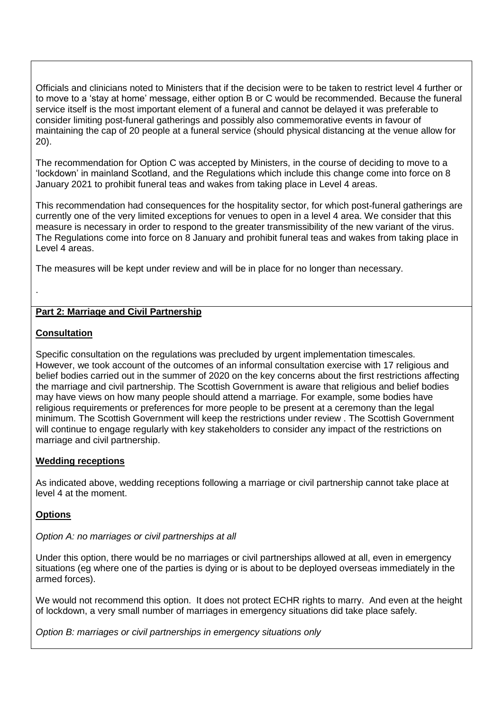Officials and clinicians noted to Ministers that if the decision were to be taken to restrict level 4 further or to move to a 'stay at home' message, either option B or C would be recommended. Because the funeral service itself is the most important element of a funeral and cannot be delayed it was preferable to consider limiting post-funeral gatherings and possibly also commemorative events in favour of maintaining the cap of 20 people at a funeral service (should physical distancing at the venue allow for 20).

The recommendation for Option C was accepted by Ministers, in the course of deciding to move to a 'lockdown' in mainland Scotland, and the Regulations which include this change come into force on 8 January 2021 to prohibit funeral teas and wakes from taking place in Level 4 areas.

This recommendation had consequences for the hospitality sector, for which post-funeral gatherings are currently one of the very limited exceptions for venues to open in a level 4 area. We consider that this measure is necessary in order to respond to the greater transmissibility of the new variant of the virus. The Regulations come into force on 8 January and prohibit funeral teas and wakes from taking place in Level 4 areas.

The measures will be kept under review and will be in place for no longer than necessary.

## **Part 2: Marriage and Civil Partnership**

### **Consultation**

.

Specific consultation on the regulations was precluded by urgent implementation timescales. However, we took account of the outcomes of an informal consultation exercise with 17 religious and belief bodies carried out in the summer of 2020 on the key concerns about the first restrictions affecting the marriage and civil partnership. The Scottish Government is aware that religious and belief bodies may have views on how many people should attend a marriage. For example, some bodies have religious requirements or preferences for more people to be present at a ceremony than the legal minimum. The Scottish Government will keep the restrictions under review . The Scottish Government will continue to engage regularly with key stakeholders to consider any impact of the restrictions on marriage and civil partnership.

## **Wedding receptions**

As indicated above, wedding receptions following a marriage or civil partnership cannot take place at level 4 at the moment.

## **Options**

### *Option A: no marriages or civil partnerships at all*

Under this option, there would be no marriages or civil partnerships allowed at all, even in emergency situations (eg where one of the parties is dying or is about to be deployed overseas immediately in the armed forces).

We would not recommend this option. It does not protect ECHR rights to marry. And even at the height of lockdown, a very small number of marriages in emergency situations did take place safely.

*Option B: marriages or civil partnerships in emergency situations only*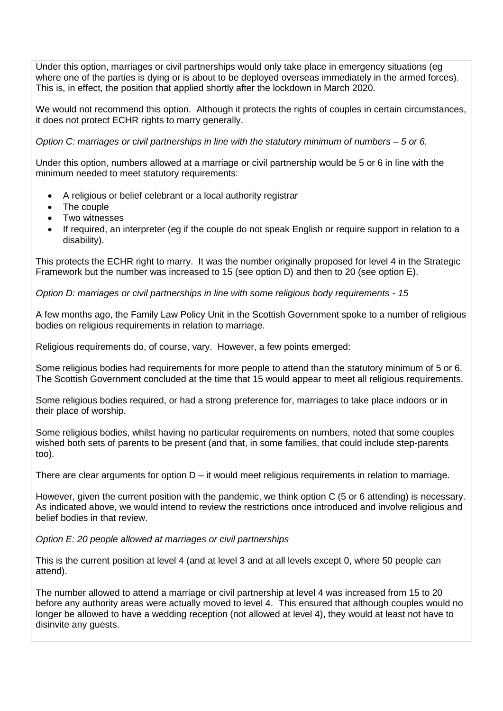Under this option, marriages or civil partnerships would only take place in emergency situations (eg where one of the parties is dying or is about to be deployed overseas immediately in the armed forces). This is, in effect, the position that applied shortly after the lockdown in March 2020.

We would not recommend this option. Although it protects the rights of couples in certain circumstances, it does not protect ECHR rights to marry generally.

*Option C: marriages or civil partnerships in line with the statutory minimum of numbers – 5 or 6.*

Under this option, numbers allowed at a marriage or civil partnership would be 5 or 6 in line with the minimum needed to meet statutory requirements:

- A religious or belief celebrant or a local authority registrar
- The couple
- Two witnesses
- If required, an interpreter (eg if the couple do not speak English or require support in relation to a disability).

This protects the ECHR right to marry. It was the number originally proposed for level 4 in the Strategic Framework but the number was increased to 15 (see option D) and then to 20 (see option E).

*Option D: marriages or civil partnerships in line with some religious body requirements - 15*

A few months ago, the Family Law Policy Unit in the Scottish Government spoke to a number of religious bodies on religious requirements in relation to marriage.

Religious requirements do, of course, vary. However, a few points emerged:

Some religious bodies had requirements for more people to attend than the statutory minimum of 5 or 6. The Scottish Government concluded at the time that 15 would appear to meet all religious requirements.

Some religious bodies required, or had a strong preference for, marriages to take place indoors or in their place of worship.

Some religious bodies, whilst having no particular requirements on numbers, noted that some couples wished both sets of parents to be present (and that, in some families, that could include step-parents too).

There are clear arguments for option D – it would meet religious requirements in relation to marriage.

However, given the current position with the pandemic, we think option C (5 or 6 attending) is necessary. As indicated above, we would intend to review the restrictions once introduced and involve religious and belief bodies in that review.

*Option E: 20 people allowed at marriages or civil partnerships*

This is the current position at level 4 (and at level 3 and at all levels except 0, where 50 people can attend).

The number allowed to attend a marriage or civil partnership at level 4 was increased from 15 to 20 before any authority areas were actually moved to level 4. This ensured that although couples would no longer be allowed to have a wedding reception (not allowed at level 4), they would at least not have to disinvite any guests.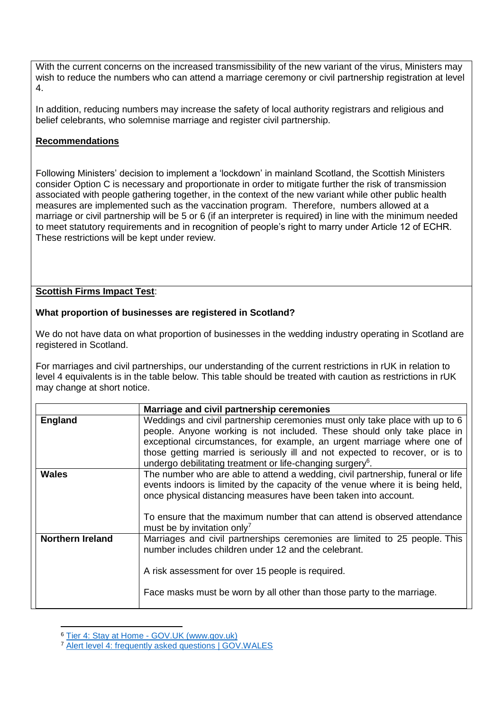With the current concerns on the increased transmissibility of the new variant of the virus. Ministers may wish to reduce the numbers who can attend a marriage ceremony or civil partnership registration at level 4.

In addition, reducing numbers may increase the safety of local authority registrars and religious and belief celebrants, who solemnise marriage and register civil partnership.

## **Recommendations**

Following Ministers' decision to implement a 'lockdown' in mainland Scotland, the Scottish Ministers consider Option C is necessary and proportionate in order to mitigate further the risk of transmission associated with people gathering together, in the context of the new variant while other public health measures are implemented such as the vaccination program. Therefore, numbers allowed at a marriage or civil partnership will be 5 or 6 (if an interpreter is required) in line with the minimum needed to meet statutory requirements and in recognition of people's right to marry under Article 12 of ECHR. These restrictions will be kept under review.

## **Scottish Firms Impact Test**:

### **What proportion of businesses are registered in Scotland?**

We do not have data on what proportion of businesses in the wedding industry operating in Scotland are registered in Scotland.

For marriages and civil partnerships, our understanding of the current restrictions in rUK in relation to level 4 equivalents is in the table below. This table should be treated with caution as restrictions in rUK may change at short notice.

|                  | Marriage and civil partnership ceremonies                                                                                                                                                                                                                                                                                                                                                   |
|------------------|---------------------------------------------------------------------------------------------------------------------------------------------------------------------------------------------------------------------------------------------------------------------------------------------------------------------------------------------------------------------------------------------|
| <b>England</b>   | Weddings and civil partnership ceremonies must only take place with up to 6<br>people. Anyone working is not included. These should only take place in<br>exceptional circumstances, for example, an urgent marriage where one of<br>those getting married is seriously ill and not expected to recover, or is to<br>undergo debilitating treatment or life-changing surgery <sup>6</sup> . |
| <b>Wales</b>     | The number who are able to attend a wedding, civil partnership, funeral or life<br>events indoors is limited by the capacity of the venue where it is being held,<br>once physical distancing measures have been taken into account.<br>To ensure that the maximum number that can attend is observed attendance<br>must be by invitation only <sup>7</sup>                                 |
| Northern Ireland | Marriages and civil partnerships ceremonies are limited to 25 people. This<br>number includes children under 12 and the celebrant.<br>A risk assessment for over 15 people is required.<br>Face masks must be worn by all other than those party to the marriage.                                                                                                                           |

<sup>-</sup><sup>6</sup> Tier 4: Stay at Home - [GOV.UK \(www.gov.uk\)](https://www.gov.uk/guidance/tier-4-stay-at-home?priority-taxon=774cee22-d896-44c1-a611-e3109cce8eae#weddings-civil-partnerships-religious-services-and-funerals)

<sup>7</sup> [Alert level 4: frequently asked questions | GOV.WALES](https://gov.wales/alert-level-4-frequently-asked-questions#section-58346)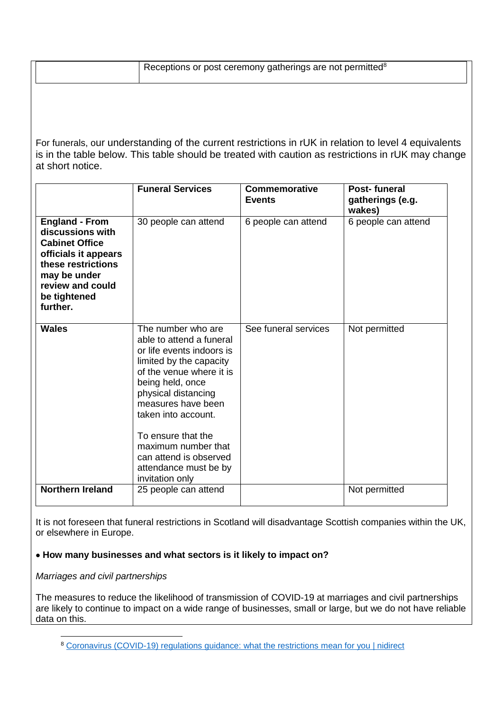| Receptions or post ceremony gatherings are not permitted <sup>8</sup> |  |
|-----------------------------------------------------------------------|--|
|-----------------------------------------------------------------------|--|

For funerals, our understanding of the current restrictions in rUK in relation to level 4 equivalents is in the table below. This table should be treated with caution as restrictions in rUK may change at short notice.

|                                                                                                                                                                                  | <b>Funeral Services</b>                                                                                                                                                                                                                                                                                                                       | <b>Commemorative</b><br><b>Events</b> | Post-funeral<br>gatherings (e.g.<br>wakes) |
|----------------------------------------------------------------------------------------------------------------------------------------------------------------------------------|-----------------------------------------------------------------------------------------------------------------------------------------------------------------------------------------------------------------------------------------------------------------------------------------------------------------------------------------------|---------------------------------------|--------------------------------------------|
| <b>England - From</b><br>discussions with<br><b>Cabinet Office</b><br>officials it appears<br>these restrictions<br>may be under<br>review and could<br>be tightened<br>further. | 30 people can attend                                                                                                                                                                                                                                                                                                                          | 6 people can attend                   | 6 people can attend                        |
| <b>Wales</b>                                                                                                                                                                     | The number who are<br>able to attend a funeral<br>or life events indoors is<br>limited by the capacity<br>of the venue where it is<br>being held, once<br>physical distancing<br>measures have been<br>taken into account.<br>To ensure that the<br>maximum number that<br>can attend is observed<br>attendance must be by<br>invitation only | See funeral services                  | Not permitted                              |
| <b>Northern Ireland</b>                                                                                                                                                          | 25 people can attend                                                                                                                                                                                                                                                                                                                          |                                       | Not permitted                              |

It is not foreseen that funeral restrictions in Scotland will disadvantage Scottish companies within the UK, or elsewhere in Europe.

## **How many businesses and what sectors is it likely to impact on?**

#### *Marriages and civil partnerships*

The measures to reduce the likelihood of transmission of COVID-19 at marriages and civil partnerships are likely to continue to impact on a wide range of businesses, small or large, but we do not have reliable data on this.

<sup>-</sup><sup>8</sup> [Coronavirus \(COVID-19\) regulations guidance: what the restrictions](https://www.nidirect.gov.uk/articles/coronavirus-covid-19-regulations-guidance-what-restrictions-mean-you) mean for you | nidirect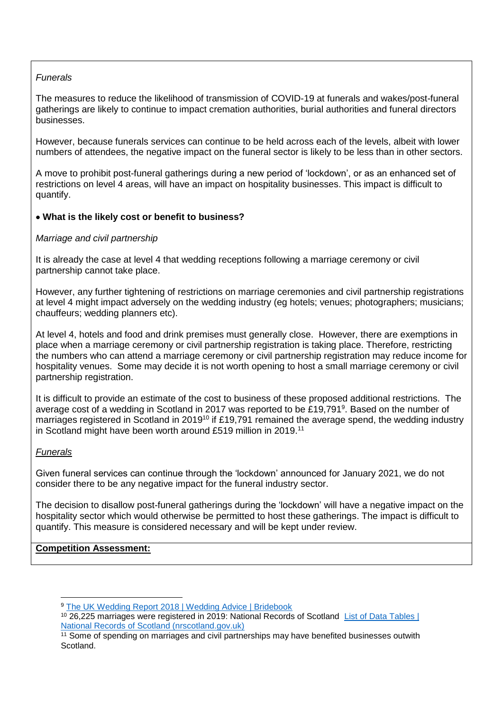## *Funerals*

The measures to reduce the likelihood of transmission of COVID-19 at funerals and wakes/post-funeral gatherings are likely to continue to impact cremation authorities, burial authorities and funeral directors businesses.

However, because funerals services can continue to be held across each of the levels, albeit with lower numbers of attendees, the negative impact on the funeral sector is likely to be less than in other sectors.

A move to prohibit post-funeral gatherings during a new period of 'lockdown', or as an enhanced set of restrictions on level 4 areas, will have an impact on hospitality businesses. This impact is difficult to quantify.

### **What is the likely cost or benefit to business?**

#### *Marriage and civil partnership*

It is already the case at level 4 that wedding receptions following a marriage ceremony or civil partnership cannot take place.

However, any further tightening of restrictions on marriage ceremonies and civil partnership registrations at level 4 might impact adversely on the wedding industry (eg hotels; venues; photographers; musicians; chauffeurs; wedding planners etc).

At level 4, hotels and food and drink premises must generally close. However, there are exemptions in place when a marriage ceremony or civil partnership registration is taking place. Therefore, restricting the numbers who can attend a marriage ceremony or civil partnership registration may reduce income for hospitality venues. Some may decide it is not worth opening to host a small marriage ceremony or civil partnership registration.

It is difficult to provide an estimate of the cost to business of these proposed additional restrictions. The average cost of a wedding in Scotland in 2017 was reported to be £19,791<sup>9</sup>. Based on the number of marriages registered in Scotland in 2019<sup>10</sup> if £19,791 remained the average spend, the wedding industry in Scotland might have been worth around £519 million in 2019.<sup>11</sup>

#### *Funerals*

Given funeral services can continue through the 'lockdown' announced for January 2021, we do not consider there to be any negative impact for the funeral industry sector.

The decision to disallow post-funeral gatherings during the 'lockdown' will have a negative impact on the hospitality sector which would otherwise be permitted to host these gatherings. The impact is difficult to quantify. This measure is considered necessary and will be kept under review.

#### **Competition Assessment:**

<sup>-</sup><sup>9</sup> [The UK Wedding Report 2018 | Wedding Advice | Bridebook](https://bridebook.co.uk/article/theukweddingreport2018)

<sup>10</sup> 26,225 marriages were registered in 2019: National Records of Scotland [List of Data Tables |](https://www.nrscotland.gov.uk/statistics-and-data/statistics/statistics-by-theme/vital-events/general-publications/vital-events-reference-tables/2019/list-of-data-tables#section7)  [National Records of Scotland \(nrscotland.gov.uk\)](https://www.nrscotland.gov.uk/statistics-and-data/statistics/statistics-by-theme/vital-events/general-publications/vital-events-reference-tables/2019/list-of-data-tables#section7)

<sup>&</sup>lt;sup>11</sup> Some of spending on marriages and civil partnerships may have benefited businesses outwith **Scotland**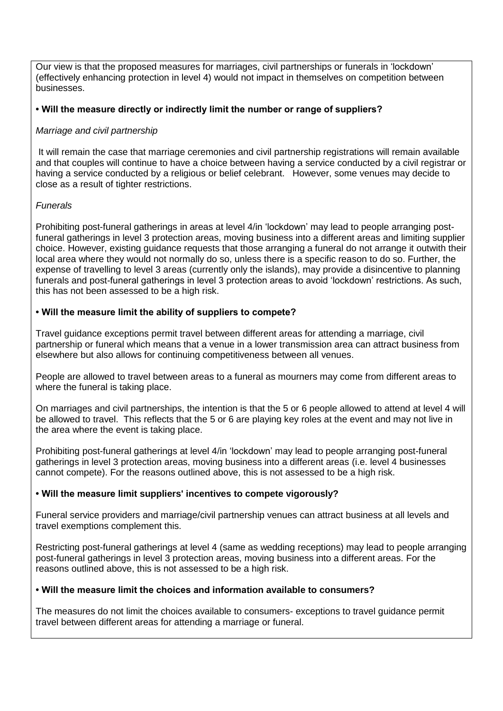Our view is that the proposed measures for marriages, civil partnerships or funerals in 'lockdown' (effectively enhancing protection in level 4) would not impact in themselves on competition between businesses.

### **• Will the measure directly or indirectly limit the number or range of suppliers?**

### *Marriage and civil partnership*

It will remain the case that marriage ceremonies and civil partnership registrations will remain available and that couples will continue to have a choice between having a service conducted by a civil registrar or having a service conducted by a religious or belief celebrant. However, some venues may decide to close as a result of tighter restrictions.

### *Funerals*

Prohibiting post-funeral gatherings in areas at level 4/in 'lockdown' may lead to people arranging postfuneral gatherings in level 3 protection areas, moving business into a different areas and limiting supplier choice. However, existing guidance requests that those arranging a funeral do not arrange it outwith their local area where they would not normally do so, unless there is a specific reason to do so. Further, the expense of travelling to level 3 areas (currently only the islands), may provide a disincentive to planning funerals and post-funeral gatherings in level 3 protection areas to avoid 'lockdown' restrictions. As such, this has not been assessed to be a high risk.

### **• Will the measure limit the ability of suppliers to compete?**

Travel guidance exceptions permit travel between different areas for attending a marriage, civil partnership or funeral which means that a venue in a lower transmission area can attract business from elsewhere but also allows for continuing competitiveness between all venues.

People are allowed to travel between areas to a funeral as mourners may come from different areas to where the funeral is taking place.

On marriages and civil partnerships, the intention is that the 5 or 6 people allowed to attend at level 4 will be allowed to travel. This reflects that the 5 or 6 are playing key roles at the event and may not live in the area where the event is taking place.

Prohibiting post-funeral gatherings at level 4/in 'lockdown' may lead to people arranging post-funeral gatherings in level 3 protection areas, moving business into a different areas (i.e. level 4 businesses cannot compete). For the reasons outlined above, this is not assessed to be a high risk.

#### **• Will the measure limit suppliers' incentives to compete vigorously?**

Funeral service providers and marriage/civil partnership venues can attract business at all levels and travel exemptions complement this.

Restricting post-funeral gatherings at level 4 (same as wedding receptions) may lead to people arranging post-funeral gatherings in level 3 protection areas, moving business into a different areas. For the reasons outlined above, this is not assessed to be a high risk.

## **• Will the measure limit the choices and information available to consumers?**

The measures do not limit the choices available to consumers- exceptions to travel guidance permit travel between different areas for attending a marriage or funeral.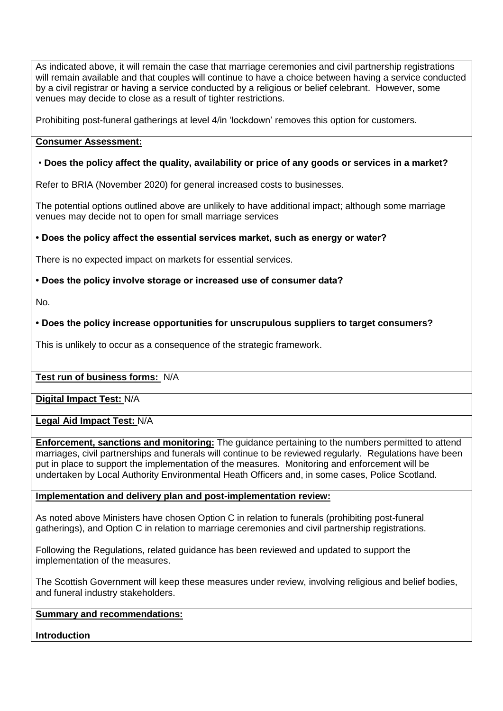As indicated above, it will remain the case that marriage ceremonies and civil partnership registrations will remain available and that couples will continue to have a choice between having a service conducted by a civil registrar or having a service conducted by a religious or belief celebrant. However, some venues may decide to close as a result of tighter restrictions.

Prohibiting post-funeral gatherings at level 4/in 'lockdown' removes this option for customers.

#### **Consumer Assessment:**

## • **Does the policy affect the quality, availability or price of any goods or services in a market?**

Refer to BRIA (November 2020) for general increased costs to businesses.

The potential options outlined above are unlikely to have additional impact; although some marriage venues may decide not to open for small marriage services

### **• Does the policy affect the essential services market, such as energy or water?**

There is no expected impact on markets for essential services.

### **• Does the policy involve storage or increased use of consumer data?**

No.

## **• Does the policy increase opportunities for unscrupulous suppliers to target consumers?**

This is unlikely to occur as a consequence of the strategic framework.

#### **Test run of business forms:** N/A

**Digital Impact Test:** N/A

#### **Legal Aid Impact Test:** N/A

**Enforcement, sanctions and monitoring:** The guidance pertaining to the numbers permitted to attend marriages, civil partnerships and funerals will continue to be reviewed regularly. Regulations have been put in place to support the implementation of the measures. Monitoring and enforcement will be undertaken by Local Authority Environmental Heath Officers and, in some cases, Police Scotland.

#### **Implementation and delivery plan and post-implementation review:**

As noted above Ministers have chosen Option C in relation to funerals (prohibiting post-funeral gatherings), and Option C in relation to marriage ceremonies and civil partnership registrations.

Following the Regulations, related guidance has been reviewed and updated to support the implementation of the measures.

The Scottish Government will keep these measures under review, involving religious and belief bodies, and funeral industry stakeholders.

### **Summary and recommendations:**

#### **Introduction**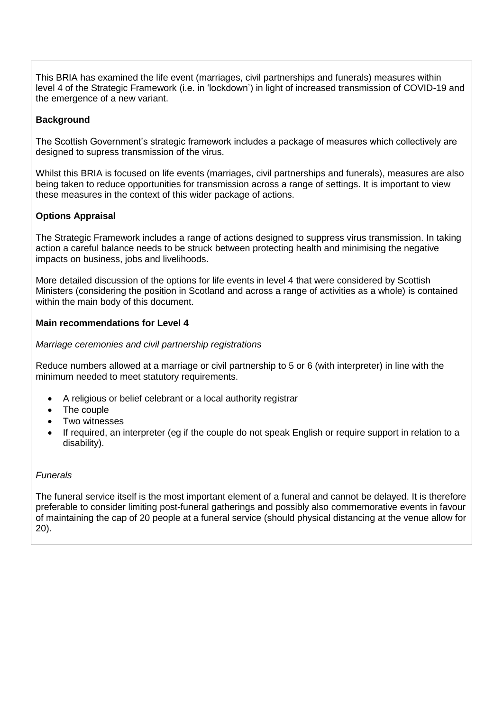This BRIA has examined the life event (marriages, civil partnerships and funerals) measures within level 4 of the Strategic Framework (i.e. in 'lockdown') in light of increased transmission of COVID-19 and the emergence of a new variant.

# **Background**

The Scottish Government's strategic framework includes a package of measures which collectively are designed to supress transmission of the virus.

Whilst this BRIA is focused on life events (marriages, civil partnerships and funerals), measures are also being taken to reduce opportunities for transmission across a range of settings. It is important to view these measures in the context of this wider package of actions.

# **Options Appraisal**

The Strategic Framework includes a range of actions designed to suppress virus transmission. In taking action a careful balance needs to be struck between protecting health and minimising the negative impacts on business, jobs and livelihoods.

More detailed discussion of the options for life events in level 4 that were considered by Scottish Ministers (considering the position in Scotland and across a range of activities as a whole) is contained within the main body of this document.

## **Main recommendations for Level 4**

### *Marriage ceremonies and civil partnership registrations*

Reduce numbers allowed at a marriage or civil partnership to 5 or 6 (with interpreter) in line with the minimum needed to meet statutory requirements.

- A religious or belief celebrant or a local authority registrar
- The couple
- Two witnesses
- If required, an interpreter (eg if the couple do not speak English or require support in relation to a disability).

#### *Funerals*

The funeral service itself is the most important element of a funeral and cannot be delayed. It is therefore preferable to consider limiting post-funeral gatherings and possibly also commemorative events in favour of maintaining the cap of 20 people at a funeral service (should physical distancing at the venue allow for 20).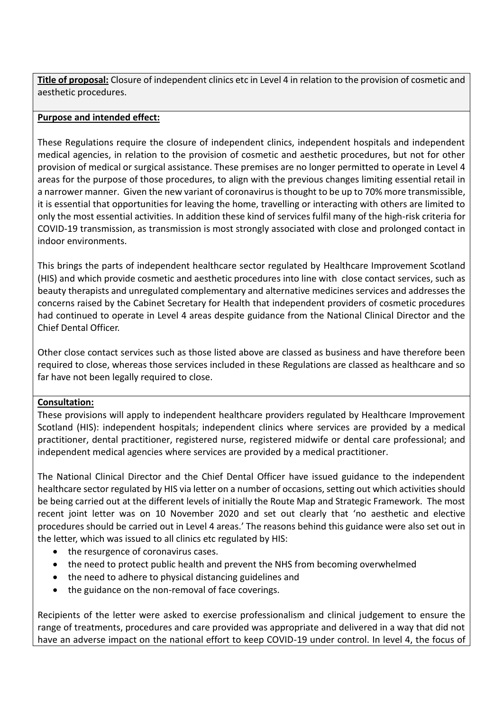**Title of proposal:** Closure of independent clinics etc in Level 4 in relation to the provision of cosmetic and aesthetic procedures.

## **Purpose and intended effect:**

These Regulations require the closure of independent clinics, independent hospitals and independent medical agencies, in relation to the provision of cosmetic and aesthetic procedures, but not for other provision of medical or surgical assistance. These premises are no longer permitted to operate in Level 4 areas for the purpose of those procedures, to align with the previous changes limiting essential retail in a narrower manner. Given the new variant of coronavirus is thought to be up to 70% more transmissible, it is essential that opportunities for leaving the home, travelling or interacting with others are limited to only the most essential activities. In addition these kind of services fulfil many of the high-risk criteria for COVID-19 transmission, as transmission is most strongly associated with close and prolonged contact in indoor environments.

This brings the parts of independent healthcare sector regulated by Healthcare Improvement Scotland (HIS) and which provide cosmetic and aesthetic procedures into line with close contact services, such as beauty therapists and unregulated complementary and alternative medicines services and addresses the concerns raised by the Cabinet Secretary for Health that independent providers of cosmetic procedures had continued to operate in Level 4 areas despite guidance from the National Clinical Director and the Chief Dental Officer.

Other close contact services such as those listed above are classed as business and have therefore been required to close, whereas those services included in these Regulations are classed as healthcare and so far have not been legally required to close.

#### **Consultation:**

These provisions will apply to independent healthcare providers regulated by Healthcare Improvement Scotland (HIS): independent hospitals; independent clinics where services are provided by a medical practitioner, dental practitioner, registered nurse, registered midwife or dental care professional; and independent medical agencies where services are provided by a medical practitioner.

The National Clinical Director and the Chief Dental Officer have issued guidance to the independent healthcare sector regulated by HIS via letter on a number of occasions, setting out which activities should be being carried out at the different levels of initially the Route Map and Strategic Framework. The most recent joint letter was on 10 November 2020 and set out clearly that 'no aesthetic and elective procedures should be carried out in Level 4 areas.' The reasons behind this guidance were also set out in the letter, which was issued to all clinics etc regulated by HIS:

- the resurgence of coronavirus cases.
- the need to protect public health and prevent the NHS from becoming overwhelmed
- the need to adhere to physical distancing guidelines and
- the guidance on the non-removal of face coverings.

Recipients of the letter were asked to exercise professionalism and clinical judgement to ensure the range of treatments, procedures and care provided was appropriate and delivered in a way that did not have an adverse impact on the national effort to keep COVID-19 under control. In level 4, the focus of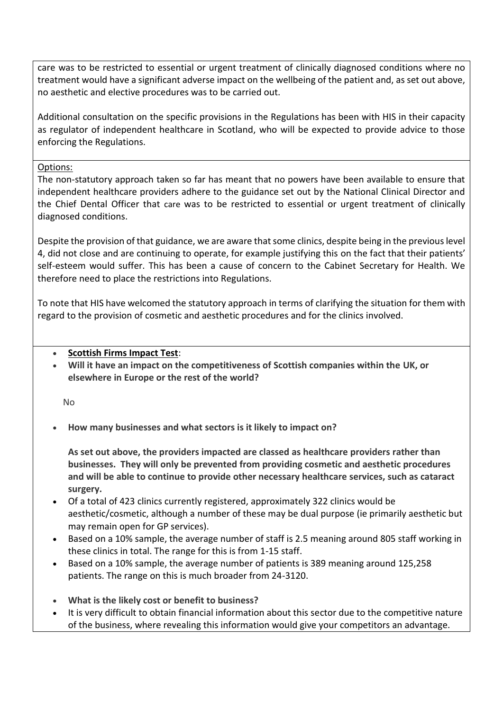care was to be restricted to essential or urgent treatment of clinically diagnosed conditions where no treatment would have a significant adverse impact on the wellbeing of the patient and, as set out above, no aesthetic and elective procedures was to be carried out.

Additional consultation on the specific provisions in the Regulations has been with HIS in their capacity as regulator of independent healthcare in Scotland, who will be expected to provide advice to those enforcing the Regulations.

### Options:

The non-statutory approach taken so far has meant that no powers have been available to ensure that independent healthcare providers adhere to the guidance set out by the National Clinical Director and the Chief Dental Officer that care was to be restricted to essential or urgent treatment of clinically diagnosed conditions.

Despite the provision of that guidance, we are aware that some clinics, despite being in the previous level 4, did not close and are continuing to operate, for example justifying this on the fact that their patients' self-esteem would suffer. This has been a cause of concern to the Cabinet Secretary for Health. We therefore need to place the restrictions into Regulations.

To note that HIS have welcomed the statutory approach in terms of clarifying the situation for them with regard to the provision of cosmetic and aesthetic procedures and for the clinics involved.

## **Scottish Firms Impact Test**:

 **Will it have an impact on the competitiveness of Scottish companies within the UK, or elsewhere in Europe or the rest of the world?**

No

**How many businesses and what sectors is it likely to impact on?**

**As set out above, the providers impacted are classed as healthcare providers rather than businesses. They will only be prevented from providing cosmetic and aesthetic procedures and will be able to continue to provide other necessary healthcare services, such as cataract surgery.**

- Of a total of 423 clinics currently registered, approximately 322 clinics would be aesthetic/cosmetic, although a number of these may be dual purpose (ie primarily aesthetic but may remain open for GP services).
- Based on a 10% sample, the average number of staff is 2.5 meaning around 805 staff working in these clinics in total. The range for this is from 1-15 staff.
- Based on a 10% sample, the average number of patients is 389 meaning around 125,258 patients. The range on this is much broader from 24-3120.
- **What is the likely cost or benefit to business?**
- It is very difficult to obtain financial information about this sector due to the competitive nature of the business, where revealing this information would give your competitors an advantage.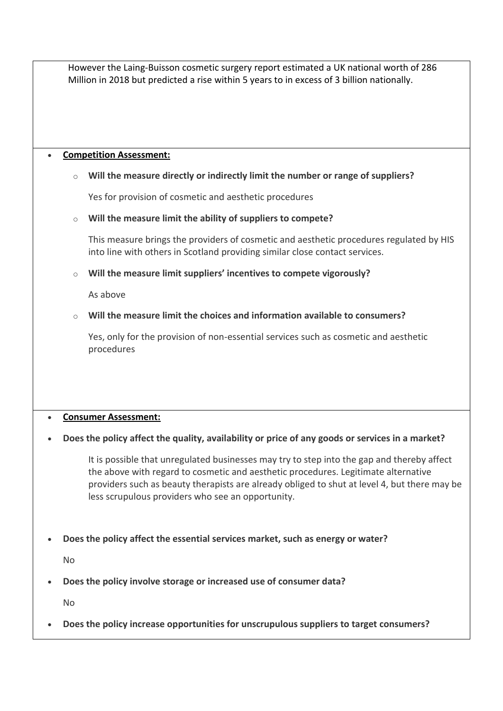However the Laing-Buisson cosmetic surgery report estimated a UK national worth of 286 Million in 2018 but predicted a rise within 5 years to in excess of 3 billion nationally.

#### **Competition Assessment:**

## o **Will the measure directly or indirectly limit the number or range of suppliers?**

Yes for provision of cosmetic and aesthetic procedures

### o **Will the measure limit the ability of suppliers to compete?**

This measure brings the providers of cosmetic and aesthetic procedures regulated by HIS into line with others in Scotland providing similar close contact services.

o **Will the measure limit suppliers' incentives to compete vigorously?**

As above

### o **Will the measure limit the choices and information available to consumers?**

Yes, only for the provision of non-essential services such as cosmetic and aesthetic procedures

#### **Consumer Assessment:**

## **Does the policy affect the quality, availability or price of any goods or services in a market?**

It is possible that unregulated businesses may try to step into the gap and thereby affect the above with regard to cosmetic and aesthetic procedures. Legitimate alternative providers such as beauty therapists are already obliged to shut at level 4, but there may be less scrupulous providers who see an opportunity.

**Does the policy affect the essential services market, such as energy or water?**

No

**Does the policy involve storage or increased use of consumer data?**

No

**Does the policy increase opportunities for unscrupulous suppliers to target consumers?**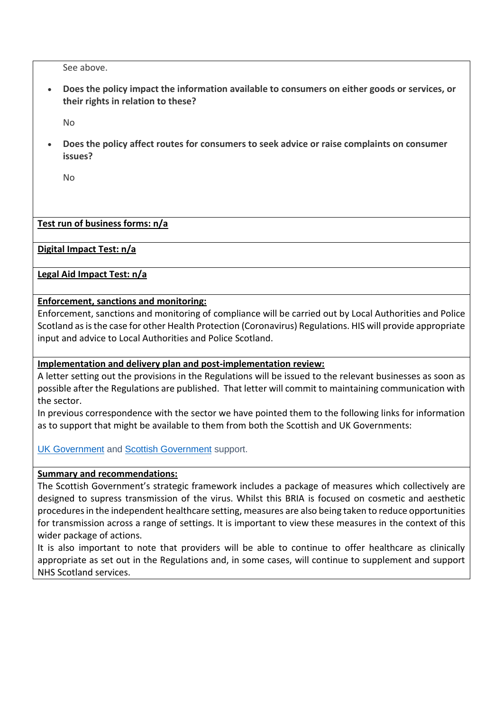See above.

 **Does the policy impact the information available to consumers on either goods or services, or their rights in relation to these?**

No

 **Does the policy affect routes for consumers to seek advice or raise complaints on consumer issues?**

No

### **Test run of business forms: n/a**

#### **Digital Impact Test: n/a**

#### **Legal Aid Impact Test: n/a**

### **Enforcement, sanctions and monitoring:**

Enforcement, sanctions and monitoring of compliance will be carried out by Local Authorities and Police Scotland as is the case for other Health Protection (Coronavirus) Regulations. HIS will provide appropriate input and advice to Local Authorities and Police Scotland.

#### **Implementation and delivery plan and post-implementation review:**

A letter setting out the provisions in the Regulations will be issued to the relevant businesses as soon as possible after the Regulations are published. That letter will commit to maintaining communication with the sector.

In previous correspondence with the sector we have pointed them to the following links for information as to support that might be available to them from both the Scottish and UK Governments:

[UK Government](https://www.gov.uk/government/collections/financial-support-for-businesses-during-coronavirus-covid-19#support-for-businesses-in-scotland-wales-and-northern-ireland) and [Scottish Government](https://findbusinesssupport.gov.scot/browse-support#!Products=/newest-first/show+25/page+1) support.

#### **Summary and recommendations:**

The Scottish Government's strategic framework includes a package of measures which collectively are designed to supress transmission of the virus. Whilst this BRIA is focused on cosmetic and aesthetic procedures in the independent healthcare setting, measures are also being taken to reduce opportunities for transmission across a range of settings. It is important to view these measures in the context of this wider package of actions.

It is also important to note that providers will be able to continue to offer healthcare as clinically appropriate as set out in the Regulations and, in some cases, will continue to supplement and support NHS Scotland services.